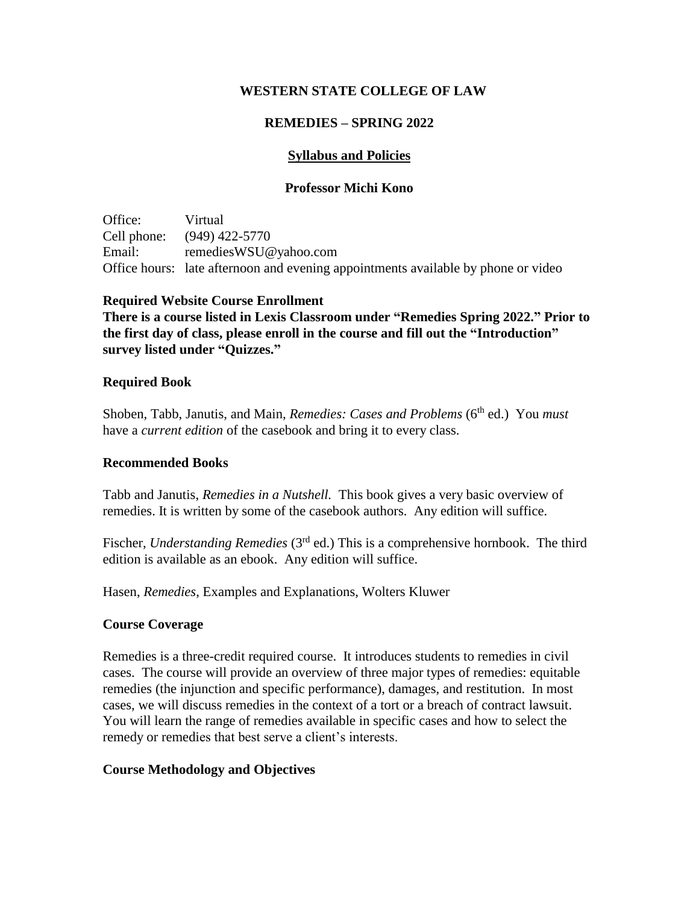## **WESTERN STATE COLLEGE OF LAW**

# **REMEDIES – SPRING 2022**

# **Syllabus and Policies**

## **Professor Michi Kono**

Office: Virtual Cell phone: (949) 422-5770 Email: remediesWSU@yahoo.com Office hours: late afternoon and evening appointments available by phone or video

### **Required Website Course Enrollment**

**There is a course listed in Lexis Classroom under "Remedies Spring 2022." Prior to the first day of class, please enroll in the course and fill out the "Introduction" survey listed under "Quizzes."**

#### **Required Book**

Shoben, Tabb, Janutis, and Main, *Remedies: Cases and Problems* (6<sup>th</sup> ed.) You *must* have a *current edition* of the casebook and bring it to every class.

#### **Recommended Books**

Tabb and Janutis, *Remedies in a Nutshell.* This book gives a very basic overview of remedies. It is written by some of the casebook authors. Any edition will suffice.

Fischer, *Understanding Remedies* (3<sup>rd</sup> ed.) This is a comprehensive hornbook. The third edition is available as an ebook. Any edition will suffice.

Hasen, *Remedies*, Examples and Explanations, Wolters Kluwer

## **Course Coverage**

Remedies is a three-credit required course. It introduces students to remedies in civil cases. The course will provide an overview of three major types of remedies: equitable remedies (the injunction and specific performance), damages, and restitution. In most cases, we will discuss remedies in the context of a tort or a breach of contract lawsuit. You will learn the range of remedies available in specific cases and how to select the remedy or remedies that best serve a client's interests.

### **Course Methodology and Objectives**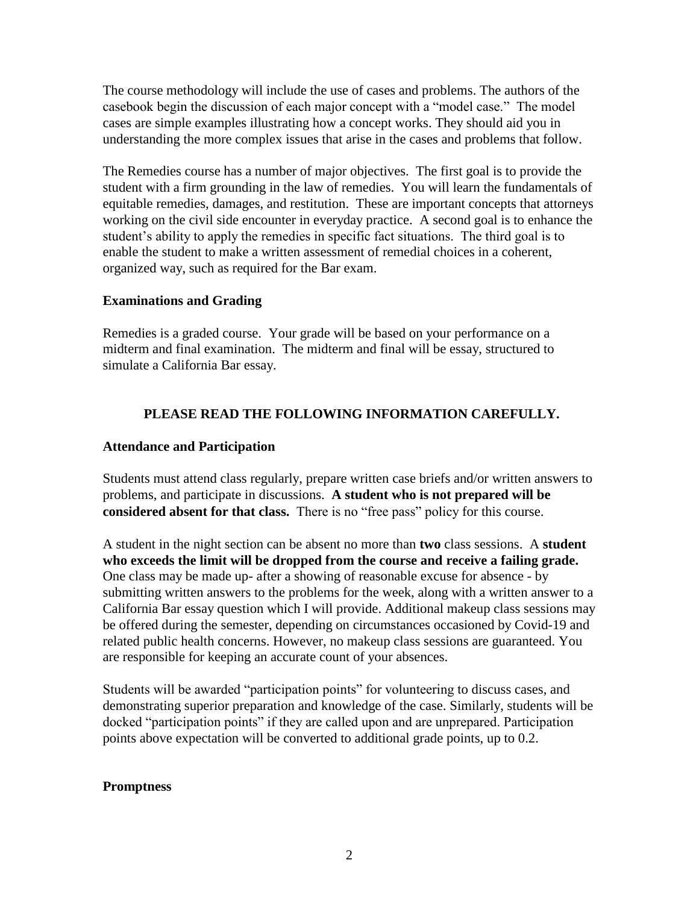The course methodology will include the use of cases and problems. The authors of the casebook begin the discussion of each major concept with a "model case." The model cases are simple examples illustrating how a concept works. They should aid you in understanding the more complex issues that arise in the cases and problems that follow.

The Remedies course has a number of major objectives. The first goal is to provide the student with a firm grounding in the law of remedies. You will learn the fundamentals of equitable remedies, damages, and restitution. These are important concepts that attorneys working on the civil side encounter in everyday practice. A second goal is to enhance the student's ability to apply the remedies in specific fact situations. The third goal is to enable the student to make a written assessment of remedial choices in a coherent, organized way, such as required for the Bar exam.

### **Examinations and Grading**

Remedies is a graded course. Your grade will be based on your performance on a midterm and final examination. The midterm and final will be essay, structured to simulate a California Bar essay.

# **PLEASE READ THE FOLLOWING INFORMATION CAREFULLY.**

#### **Attendance and Participation**

Students must attend class regularly, prepare written case briefs and/or written answers to problems, and participate in discussions. **A student who is not prepared will be considered absent for that class.** There is no "free pass" policy for this course.

A student in the night section can be absent no more than **two** class sessions. A **student who exceeds the limit will be dropped from the course and receive a failing grade.** One class may be made up- after a showing of reasonable excuse for absence - by submitting written answers to the problems for the week, along with a written answer to a California Bar essay question which I will provide. Additional makeup class sessions may be offered during the semester, depending on circumstances occasioned by Covid-19 and related public health concerns. However, no makeup class sessions are guaranteed. You are responsible for keeping an accurate count of your absences.

Students will be awarded "participation points" for volunteering to discuss cases, and demonstrating superior preparation and knowledge of the case. Similarly, students will be docked "participation points" if they are called upon and are unprepared. Participation points above expectation will be converted to additional grade points, up to 0.2.

#### **Promptness**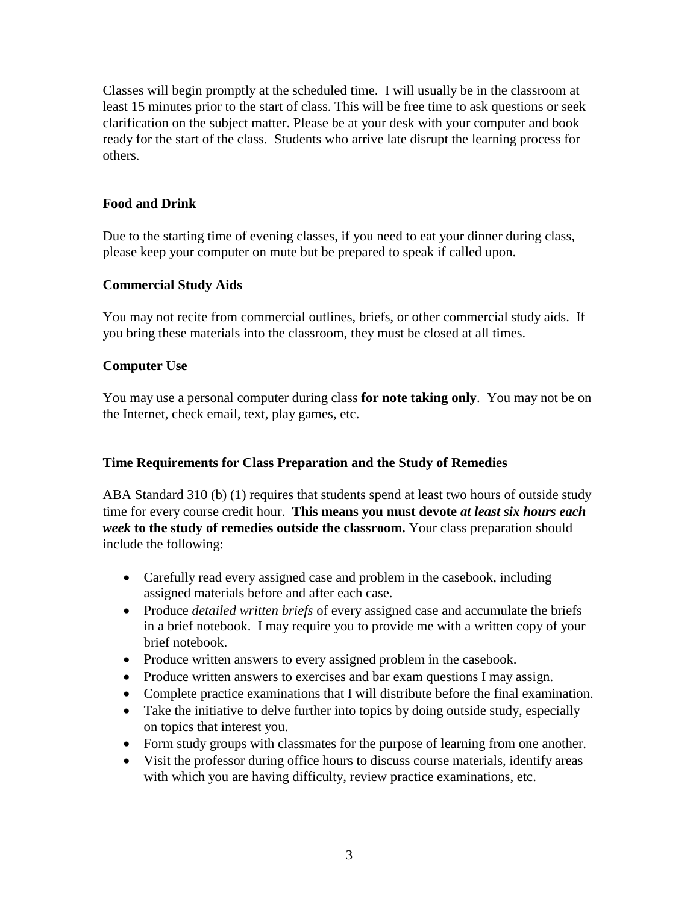Classes will begin promptly at the scheduled time. I will usually be in the classroom at least 15 minutes prior to the start of class. This will be free time to ask questions or seek clarification on the subject matter. Please be at your desk with your computer and book ready for the start of the class. Students who arrive late disrupt the learning process for others.

# **Food and Drink**

Due to the starting time of evening classes, if you need to eat your dinner during class, please keep your computer on mute but be prepared to speak if called upon.

# **Commercial Study Aids**

You may not recite from commercial outlines, briefs, or other commercial study aids. If you bring these materials into the classroom, they must be closed at all times.

# **Computer Use**

You may use a personal computer during class **for note taking only**. You may not be on the Internet, check email, text, play games, etc.

### **Time Requirements for Class Preparation and the Study of Remedies**

ABA Standard 310 (b) (1) requires that students spend at least two hours of outside study time for every course credit hour. **This means you must devote** *at least six hours each week* **to the study of remedies outside the classroom.** Your class preparation should include the following:

- Carefully read every assigned case and problem in the casebook, including assigned materials before and after each case.
- Produce *detailed written briefs* of every assigned case and accumulate the briefs in a brief notebook. I may require you to provide me with a written copy of your brief notebook.
- Produce written answers to every assigned problem in the casebook.
- Produce written answers to exercises and bar exam questions I may assign.
- Complete practice examinations that I will distribute before the final examination.
- Take the initiative to delve further into topics by doing outside study, especially on topics that interest you.
- Form study groups with classmates for the purpose of learning from one another.
- Visit the professor during office hours to discuss course materials, identify areas with which you are having difficulty, review practice examinations, etc.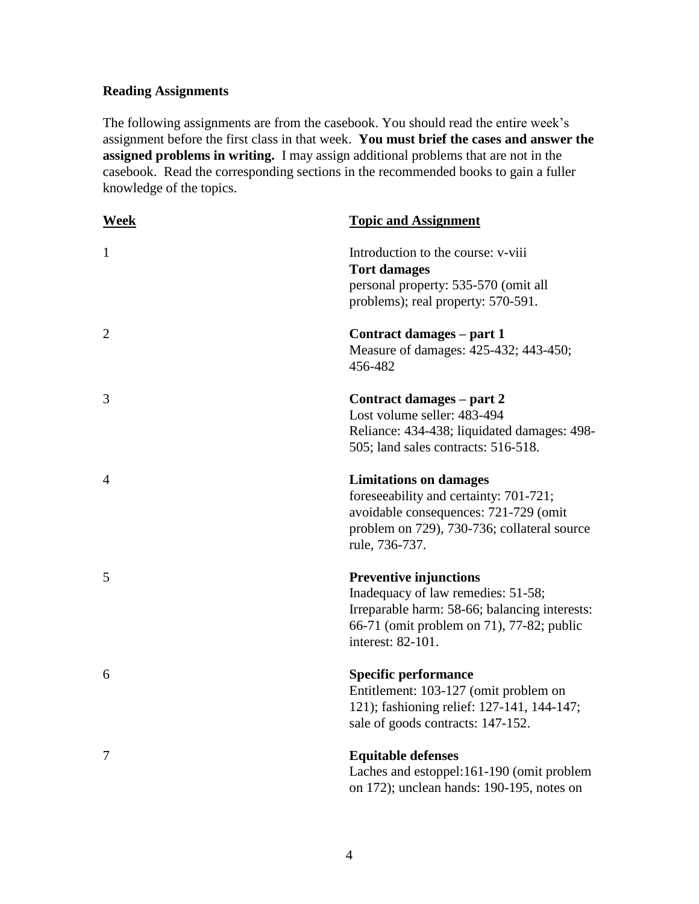# **Reading Assignments**

The following assignments are from the casebook. You should read the entire week's assignment before the first class in that week. **You must brief the cases and answer the assigned problems in writing.** I may assign additional problems that are not in the casebook. Read the corresponding sections in the recommended books to gain a fuller knowledge of the topics.

| Week           | <b>Topic and Assignment</b>                                                                                                                                                            |
|----------------|----------------------------------------------------------------------------------------------------------------------------------------------------------------------------------------|
| $\mathbf{1}$   | Introduction to the course: v-viii<br><b>Tort damages</b><br>personal property: 535-570 (omit all<br>problems); real property: 570-591.                                                |
| $\overline{2}$ | Contract damages – part 1<br>Measure of damages: 425-432; 443-450;<br>456-482                                                                                                          |
| 3              | Contract damages – part 2<br>Lost volume seller: 483-494<br>Reliance: 434-438; liquidated damages: 498-<br>505; land sales contracts: 516-518.                                         |
| 4              | <b>Limitations on damages</b><br>foreseeability and certainty: 701-721;<br>avoidable consequences: 721-729 (omit<br>problem on 729), 730-736; collateral source<br>rule, 736-737.      |
| 5              | <b>Preventive injunctions</b><br>Inadequacy of law remedies: 51-58;<br>Irreparable harm: 58-66; balancing interests:<br>66-71 (omit problem on 71), 77-82; public<br>interest: 82-101. |
| 6              | <b>Specific performance</b><br>Entitlement: 103-127 (omit problem on<br>121); fashioning relief: 127-141, 144-147;<br>sale of goods contracts: 147-152.                                |
| 7              | <b>Equitable defenses</b><br>Laches and estoppel:161-190 (omit problem<br>on 172); unclean hands: 190-195, notes on                                                                    |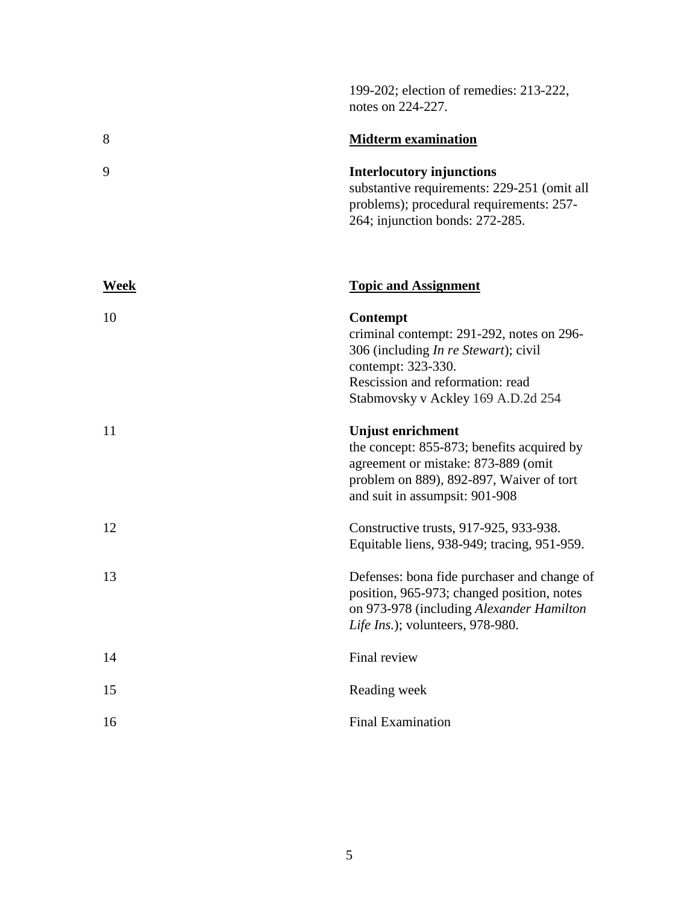|             | notes on 224-227.                                                                                                                                                                                     |
|-------------|-------------------------------------------------------------------------------------------------------------------------------------------------------------------------------------------------------|
| 8           | <b>Midterm examination</b>                                                                                                                                                                            |
| 9           | <b>Interlocutory injunctions</b><br>substantive requirements: 229-251 (omit all<br>problems); procedural requirements: 257-<br>264; injunction bonds: 272-285.                                        |
| <u>Week</u> | <b>Topic and Assignment</b>                                                                                                                                                                           |
| 10          | Contempt<br>criminal contempt: 291-292, notes on 296-<br>306 (including <i>In re Stewart</i> ); civil<br>contempt: 323-330.<br>Rescission and reformation: read<br>Stabmovsky v Ackley 169 A.D.2d 254 |
| 11          | <b>Unjust enrichment</b><br>the concept: 855-873; benefits acquired by<br>agreement or mistake: 873-889 (omit<br>problem on 889), 892-897, Waiver of tort<br>and suit in assumpsit: 901-908           |
| 12          | Constructive trusts, 917-925, 933-938.<br>Equitable liens, 938-949; tracing, 951-959.                                                                                                                 |
| 13          | Defenses: bona fide purchaser and change of<br>position, 965-973; changed position, notes<br>on 973-978 (including Alexander Hamilton<br>Life Ins.); volunteers, 978-980.                             |
| 14          | Final review                                                                                                                                                                                          |
| 15          | Reading week                                                                                                                                                                                          |
| 16          | <b>Final Examination</b>                                                                                                                                                                              |

199-202; election of remedies: 213-222,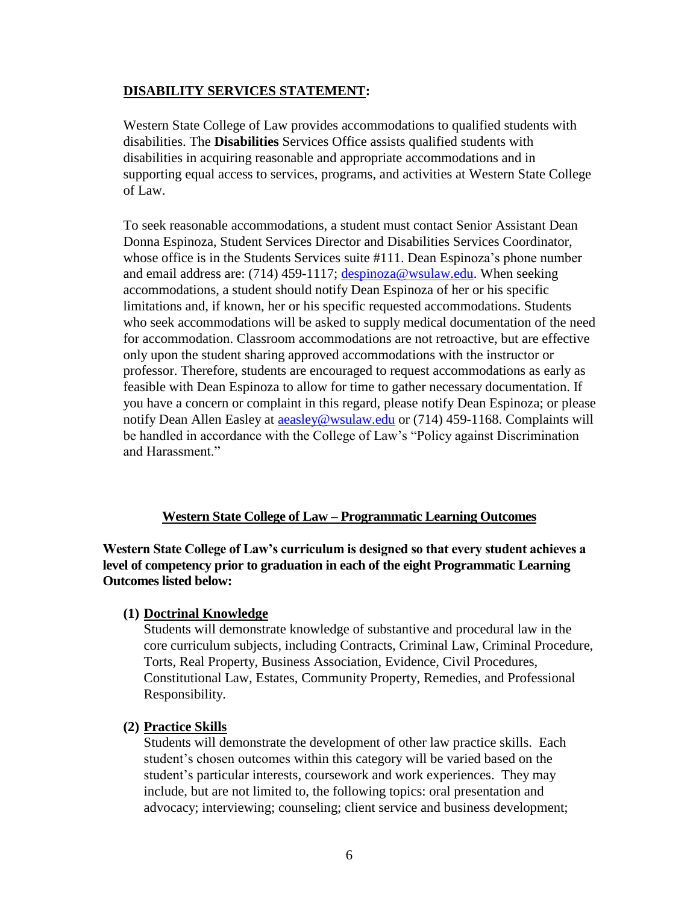# **DISABILITY SERVICES STATEMENT:**

Western State College of Law provides accommodations to qualified students with disabilities. The **Disabilities** Services Office assists qualified students with disabilities in acquiring reasonable and appropriate accommodations and in supporting equal access to services, programs, and activities at Western State College of Law.

To seek reasonable accommodations, a student must contact Senior Assistant Dean Donna Espinoza, Student Services Director and Disabilities Services Coordinator, whose office is in the Students Services suite #111. Dean Espinoza's phone number and email address are: (714) 459-1117; [despinoza@wsulaw.edu.](mailto:despinoza@wsulaw.edu) When seeking accommodations, a student should notify Dean Espinoza of her or his specific limitations and, if known, her or his specific requested accommodations. Students who seek accommodations will be asked to supply medical documentation of the need for accommodation. Classroom accommodations are not retroactive, but are effective only upon the student sharing approved accommodations with the instructor or professor. Therefore, students are encouraged to request accommodations as early as feasible with Dean Espinoza to allow for time to gather necessary documentation. If you have a concern or complaint in this regard, please notify Dean Espinoza; or please notify Dean Allen Easley at [aeasley@wsulaw.edu](mailto:aeasley@wsulaw.edu) or (714) 459-1168. Complaints will be handled in accordance with the College of Law's "Policy against Discrimination and Harassment."

### **Western State College of Law – Programmatic Learning Outcomes**

**Western State College of Law's curriculum is designed so that every student achieves a level of competency prior to graduation in each of the eight Programmatic Learning Outcomes listed below:**

### **(1) Doctrinal Knowledge**

Students will demonstrate knowledge of substantive and procedural law in the core curriculum subjects, including Contracts, Criminal Law, Criminal Procedure, Torts, Real Property, Business Association, Evidence, Civil Procedures, Constitutional Law, Estates, Community Property, Remedies, and Professional Responsibility.

### **(2) Practice Skills**

Students will demonstrate the development of other law practice skills. Each student's chosen outcomes within this category will be varied based on the student's particular interests, coursework and work experiences. They may include, but are not limited to, the following topics: oral presentation and advocacy; interviewing; counseling; client service and business development;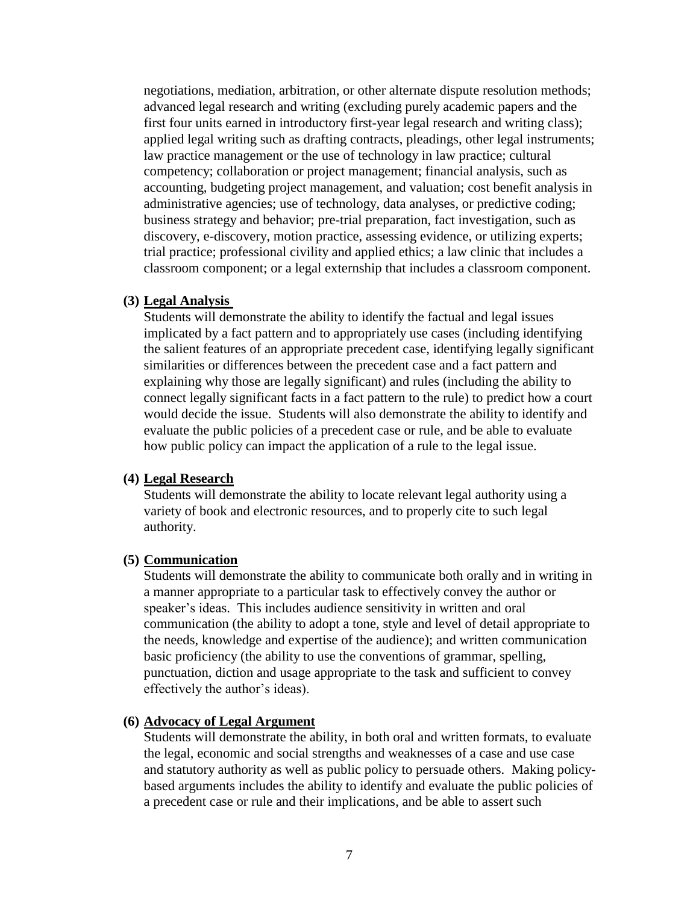negotiations, mediation, arbitration, or other alternate dispute resolution methods; advanced legal research and writing (excluding purely academic papers and the first four units earned in introductory first-year legal research and writing class); applied legal writing such as drafting contracts, pleadings, other legal instruments; law practice management or the use of technology in law practice; cultural competency; collaboration or project management; financial analysis, such as accounting, budgeting project management, and valuation; cost benefit analysis in administrative agencies; use of technology, data analyses, or predictive coding; business strategy and behavior; pre-trial preparation, fact investigation, such as discovery, e-discovery, motion practice, assessing evidence, or utilizing experts; trial practice; professional civility and applied ethics; a law clinic that includes a classroom component; or a legal externship that includes a classroom component.

#### **(3) Legal Analysis**

Students will demonstrate the ability to identify the factual and legal issues implicated by a fact pattern and to appropriately use cases (including identifying the salient features of an appropriate precedent case, identifying legally significant similarities or differences between the precedent case and a fact pattern and explaining why those are legally significant) and rules (including the ability to connect legally significant facts in a fact pattern to the rule) to predict how a court would decide the issue. Students will also demonstrate the ability to identify and evaluate the public policies of a precedent case or rule, and be able to evaluate how public policy can impact the application of a rule to the legal issue.

#### **(4) Legal Research**

Students will demonstrate the ability to locate relevant legal authority using a variety of book and electronic resources, and to properly cite to such legal authority.

#### **(5) Communication**

Students will demonstrate the ability to communicate both orally and in writing in a manner appropriate to a particular task to effectively convey the author or speaker's ideas. This includes audience sensitivity in written and oral communication (the ability to adopt a tone, style and level of detail appropriate to the needs, knowledge and expertise of the audience); and written communication basic proficiency (the ability to use the conventions of grammar, spelling, punctuation, diction and usage appropriate to the task and sufficient to convey effectively the author's ideas).

#### **(6) Advocacy of Legal Argument**

Students will demonstrate the ability, in both oral and written formats, to evaluate the legal, economic and social strengths and weaknesses of a case and use case and statutory authority as well as public policy to persuade others. Making policybased arguments includes the ability to identify and evaluate the public policies of a precedent case or rule and their implications, and be able to assert such